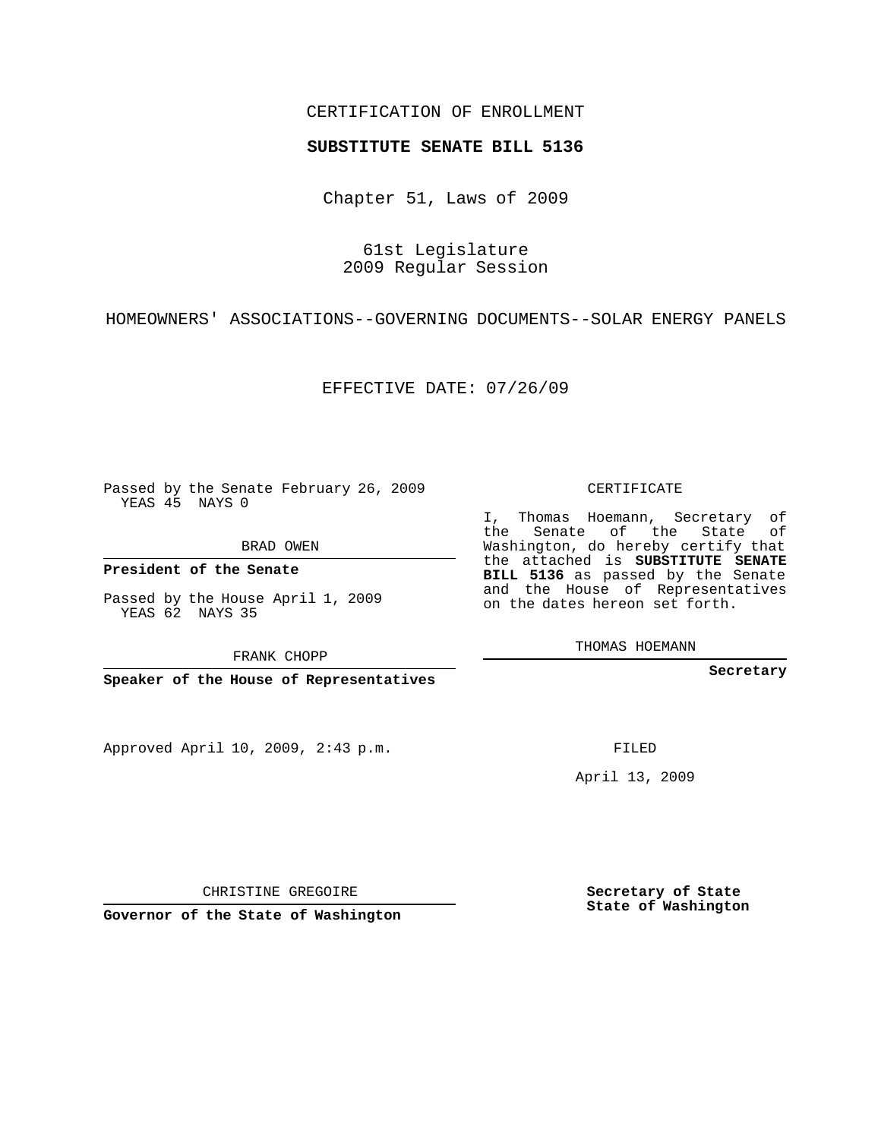## CERTIFICATION OF ENROLLMENT

## **SUBSTITUTE SENATE BILL 5136**

Chapter 51, Laws of 2009

61st Legislature 2009 Regular Session

HOMEOWNERS' ASSOCIATIONS--GOVERNING DOCUMENTS--SOLAR ENERGY PANELS

EFFECTIVE DATE: 07/26/09

Passed by the Senate February 26, 2009 YEAS 45 NAYS 0

BRAD OWEN

**President of the Senate**

Passed by the House April 1, 2009 YEAS 62 NAYS 35

FRANK CHOPP

**Speaker of the House of Representatives**

Approved April 10, 2009, 2:43 p.m.

CERTIFICATE

I, Thomas Hoemann, Secretary of the Senate of the State Washington, do hereby certify that the attached is **SUBSTITUTE SENATE BILL 5136** as passed by the Senate and the House of Representatives on the dates hereon set forth.

THOMAS HOEMANN

**Secretary**

FILED

April 13, 2009

**Secretary of State State of Washington**

CHRISTINE GREGOIRE

**Governor of the State of Washington**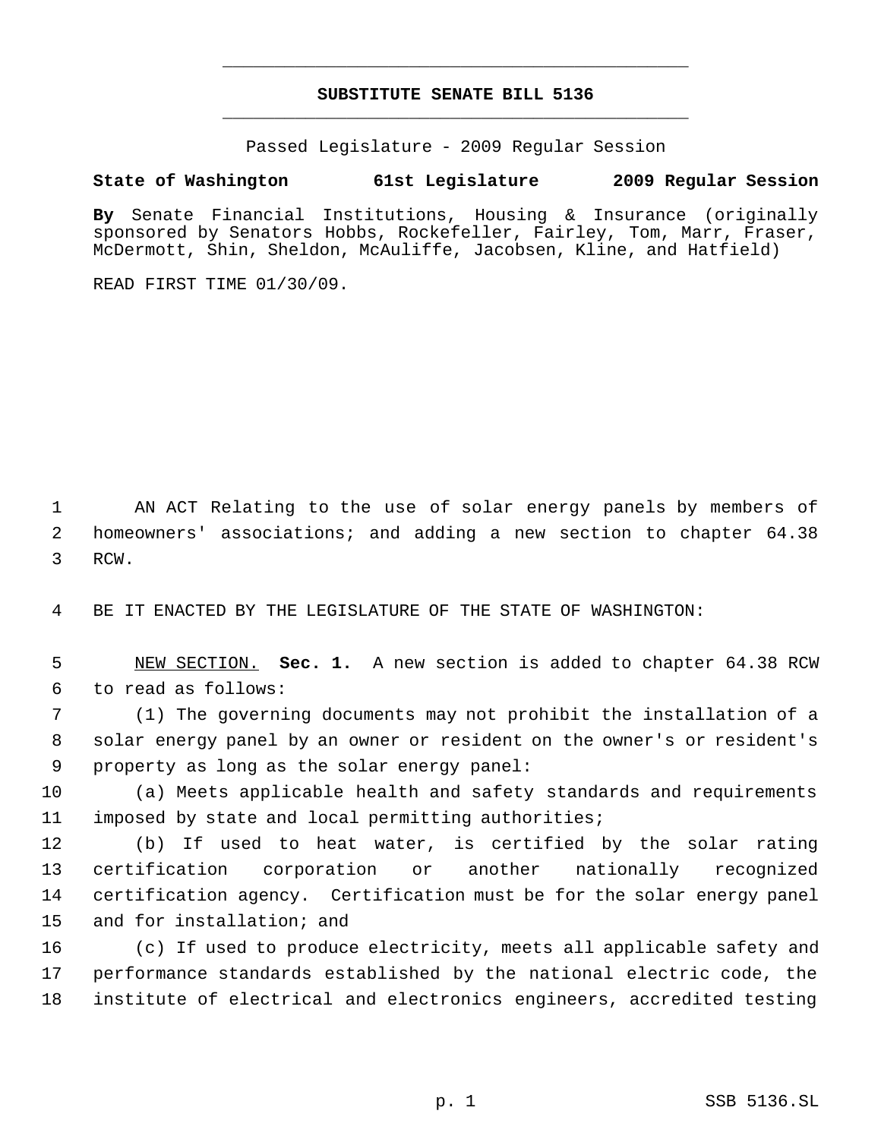## **SUBSTITUTE SENATE BILL 5136** \_\_\_\_\_\_\_\_\_\_\_\_\_\_\_\_\_\_\_\_\_\_\_\_\_\_\_\_\_\_\_\_\_\_\_\_\_\_\_\_\_\_\_\_\_

\_\_\_\_\_\_\_\_\_\_\_\_\_\_\_\_\_\_\_\_\_\_\_\_\_\_\_\_\_\_\_\_\_\_\_\_\_\_\_\_\_\_\_\_\_

Passed Legislature - 2009 Regular Session

## **State of Washington 61st Legislature 2009 Regular Session**

**By** Senate Financial Institutions, Housing & Insurance (originally sponsored by Senators Hobbs, Rockefeller, Fairley, Tom, Marr, Fraser, McDermott, Shin, Sheldon, McAuliffe, Jacobsen, Kline, and Hatfield)

READ FIRST TIME 01/30/09.

 AN ACT Relating to the use of solar energy panels by members of homeowners' associations; and adding a new section to chapter 64.38 RCW.

BE IT ENACTED BY THE LEGISLATURE OF THE STATE OF WASHINGTON:

 NEW SECTION. **Sec. 1.** A new section is added to chapter 64.38 RCW to read as follows:

 (1) The governing documents may not prohibit the installation of a solar energy panel by an owner or resident on the owner's or resident's property as long as the solar energy panel:

 (a) Meets applicable health and safety standards and requirements imposed by state and local permitting authorities;

 (b) If used to heat water, is certified by the solar rating certification corporation or another nationally recognized certification agency. Certification must be for the solar energy panel and for installation; and

 (c) If used to produce electricity, meets all applicable safety and performance standards established by the national electric code, the institute of electrical and electronics engineers, accredited testing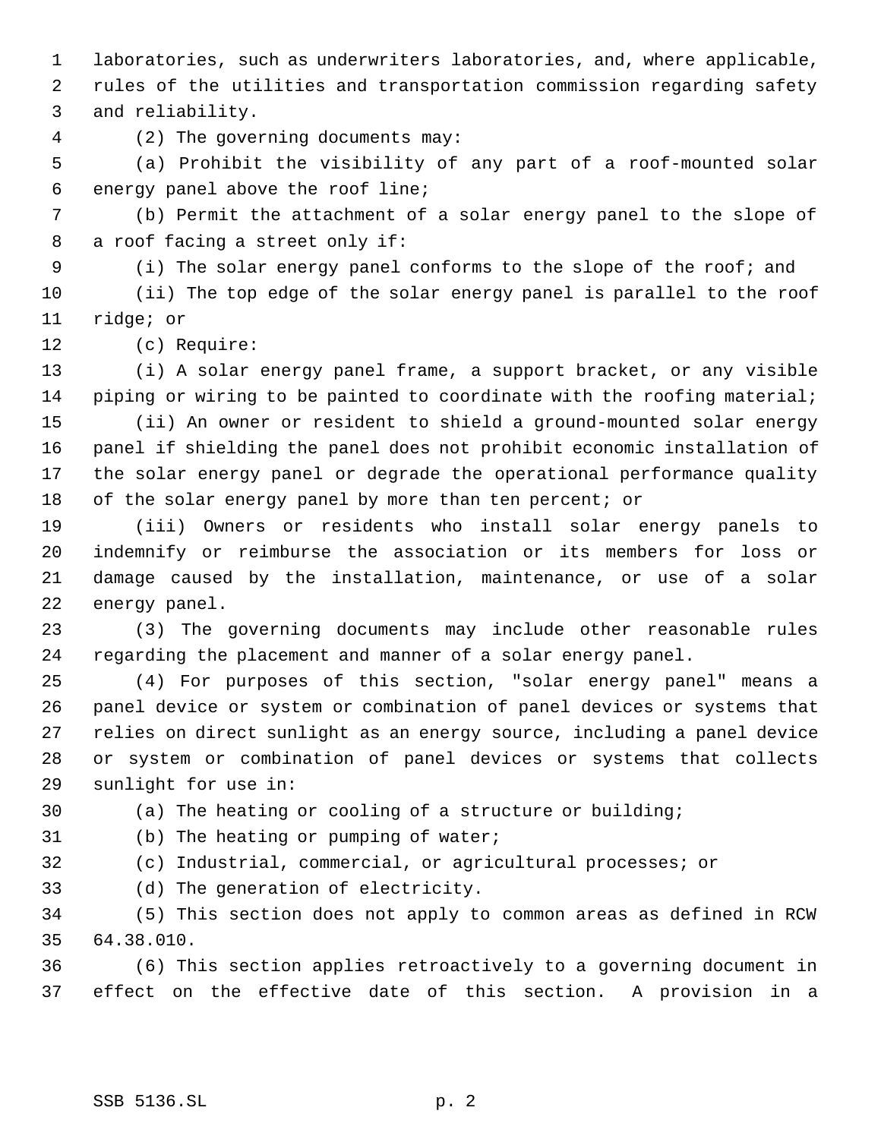laboratories, such as underwriters laboratories, and, where applicable, rules of the utilities and transportation commission regarding safety and reliability.

(2) The governing documents may:

 (a) Prohibit the visibility of any part of a roof-mounted solar energy panel above the roof line;

 (b) Permit the attachment of a solar energy panel to the slope of a roof facing a street only if:

(i) The solar energy panel conforms to the slope of the roof; and

 (ii) The top edge of the solar energy panel is parallel to the roof ridge; or

(c) Require:

 (i) A solar energy panel frame, a support bracket, or any visible 14 piping or wiring to be painted to coordinate with the roofing material;

 (ii) An owner or resident to shield a ground-mounted solar energy panel if shielding the panel does not prohibit economic installation of the solar energy panel or degrade the operational performance quality 18 of the solar energy panel by more than ten percent; or

 (iii) Owners or residents who install solar energy panels to indemnify or reimburse the association or its members for loss or damage caused by the installation, maintenance, or use of a solar energy panel.

 (3) The governing documents may include other reasonable rules regarding the placement and manner of a solar energy panel.

 (4) For purposes of this section, "solar energy panel" means a panel device or system or combination of panel devices or systems that relies on direct sunlight as an energy source, including a panel device or system or combination of panel devices or systems that collects sunlight for use in:

(a) The heating or cooling of a structure or building;

(b) The heating or pumping of water;

(c) Industrial, commercial, or agricultural processes; or

(d) The generation of electricity.

 (5) This section does not apply to common areas as defined in RCW 64.38.010.

 (6) This section applies retroactively to a governing document in effect on the effective date of this section. A provision in a